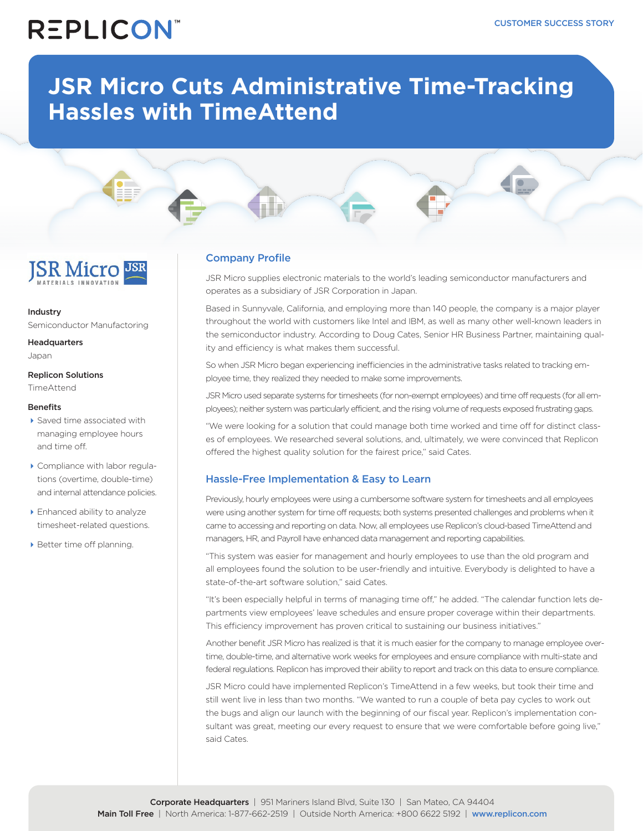### **REPLICON**

### **JSR Micro Cuts Administrative Time-Tracking Hassles with TimeAttend**

## **ISR Micro**

Industry Semiconductor Manufactoring

**Headquarters** Japan

Replicon Solutions **TimeAttend** 

#### **Benefits**

- ▶ Saved time associated with managing employee hours and time off.
- Compliance with labor regulations (overtime, double-time) and internal attendance policies.
- ▶ Enhanced ability to analyze timesheet-related questions.
- Better time off planning.

### Company Profile

JSR Micro supplies electronic materials to the world's leading semiconductor manufacturers and operates as a subsidiary of JSR Corporation in Japan.

Based in Sunnyvale, California, and employing more than 140 people, the company is a major player throughout the world with customers like Intel and IBM, as well as many other well-known leaders in the semiconductor industry. According to Doug Cates, Senior HR Business Partner, maintaining quality and efficiency is what makes them successful.

So when JSR Micro began experiencing inefficiencies in the administrative tasks related to tracking employee time, they realized they needed to make some improvements.

JSR Micro used separate systems for timesheets (for non-exempt employees) and time off requests (for all employees); neither system was particularly efficient, and the rising volume of requests exposed frustrating gaps.

"We were looking for a solution that could manage both time worked and time off for distinct classes of employees. We researched several solutions, and, ultimately, we were convinced that Replicon offered the highest quality solution for the fairest price," said Cates.

### Hassle-Free Implementation & Easy to Learn

Previously, hourly employees were using a cumbersome software system for timesheets and all employees were using another system for time off requests; both systems presented challenges and problems when it came to accessing and reporting on data. Now, all employees use Replicon's cloud-based TimeAttend and managers, HR, and Payroll have enhanced data management and reporting capabilities.

"This system was easier for management and hourly employees to use than the old program and all employees found the solution to be user-friendly and intuitive. Everybody is delighted to have a state-of-the-art software solution," said Cates.

"It's been especially helpful in terms of managing time off," he added. "The calendar function lets departments view employees' leave schedules and ensure proper coverage within their departments. This efficiency improvement has proven critical to sustaining our business initiatives."

Another benefit JSR Micro has realized is that it is much easier for the company to manage employee overtime, double-time, and alternative work weeks for employees and ensure compliance with multi-state and federal regulations. Replicon has improved their ability to report and track on this data to ensure compliance.

JSR Micro could have implemented Replicon's TimeAttend in a few weeks, but took their time and still went live in less than two months. "We wanted to run a couple of beta pay cycles to work out the bugs and align our launch with the beginning of our fiscal year. Replicon's implementation consultant was great, meeting our every request to ensure that we were comfortable before going live," said Cates.